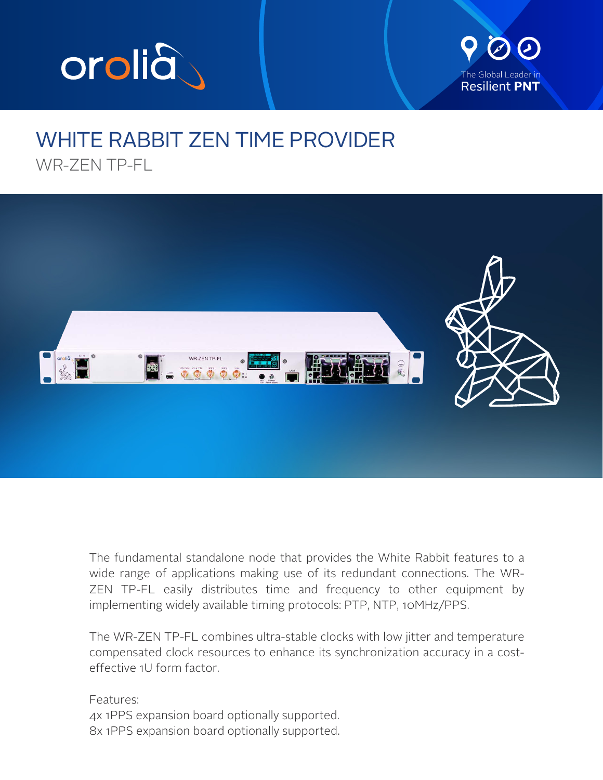



## WHITE RABBIT ZEN TIME PROVIDER WR-7FN TP-FL



The fundamental standalone node that provides the White Rabbit features to a wide range of applications making use of its redundant connections. The WR-ZEN TP-FL easily distributes time and frequency to other equipment by implementing widely available timing protocols: PTP, NTP, 10MHz/PPS.

The WR-ZEN TP-FL combines ultra-stable clocks with low jitter and temperature compensated clock resources to enhance its synchronization accuracy in a costeffective 1U form factor.

Features: 4x 1PPS expansion board optionally supported. 8x 1PPS expansion board optionally supported.